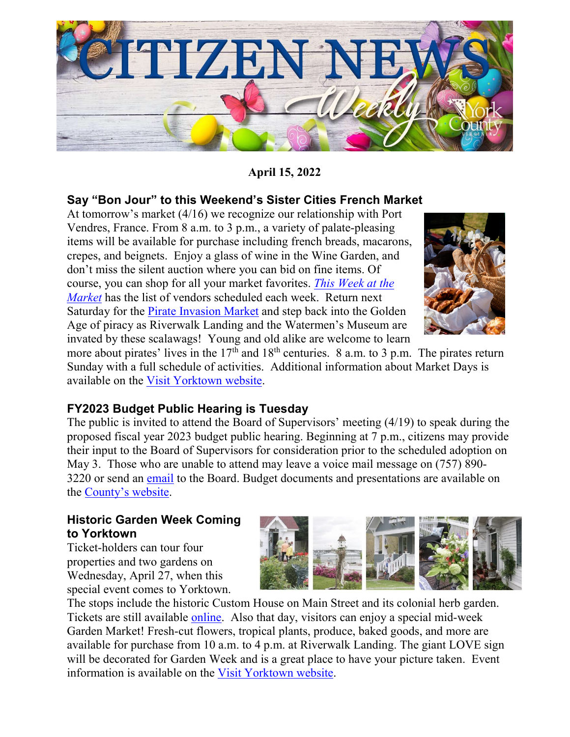

### **April 15, 2022**

#### **Say "Bon Jour" to this Weekend's Sister Cities French Market**

At tomorrow's market (4/16) we recognize our relationship with Port Vendres, France. From 8 a.m. to 3 p.m., a variety of palate-pleasing items will be available for purchase including french breads, macarons, crepes, and beignets. Enjoy a glass of wine in the Wine Garden, and don't miss the silent auction where you can bid on fine items. Of course, you can shop for all your market favorites. *[This Week at the](https://www.visityorktown.org/418/This-Week-at-the-Market)  [Market](https://www.visityorktown.org/418/This-Week-at-the-Market)* has the list of vendors scheduled each week. Return next Saturday for the [Pirate Invasion Market](https://www.visityorktown.org/DocumentCenter/View/6045/Pirates-Invade-Schedule_2022) and step back into the Golden Age of piracy as Riverwalk Landing and the Watermen's Museum are invated by these scalawags! Young and old alike are welcome to learn



more about pirates' lives in the  $17<sup>th</sup>$  and  $18<sup>th</sup>$  centuries. 8 a.m. to 3 p.m. The pirates return Sunday with a full schedule of activities. Additional information about Market Days is available on the [Visit Yorktown website.](https://www.visityorktown.org/)

#### **FY2023 Budget Public Hearing is Tuesday**

The public is invited to attend the Board of Supervisors' meeting (4/19) to speak during the proposed fiscal year 2023 budget public hearing. Beginning at 7 p.m., citizens may provide their input to the Board of Supervisors for consideration prior to the scheduled adoption on May 3. Those who are unable to attend may leave a voice mail message on (757) 890- 3220 or send an [email](mailto:bos@yorkcounty.gov) to the Board. Budget documents and presentations are available on the [County's website.](https://www.yorkcounty.gov/558/Budget)

#### **Historic Garden Week Coming to Yorktown**

Ticket-holders can tour four properties and two gardens on Wednesday, April 27, when this special event comes to Yorktown.



The stops include the historic Custom House on Main Street and its colonial herb garden. Tickets are still available [online.](https://www.vagardenweek.org/tours/hampton-newport-news-yorktown/) Also that day, visitors can enjoy a special mid-week Garden Market! Fresh-cut flowers, tropical plants, produce, baked goods, and more are available for purchase from 10 a.m. to 4 p.m. at Riverwalk Landing. The giant LOVE sign will be decorated for Garden Week and is a great place to have your picture taken. Event information is available on the [Visit Yorktown website.](https://www.visityorktown.org/)